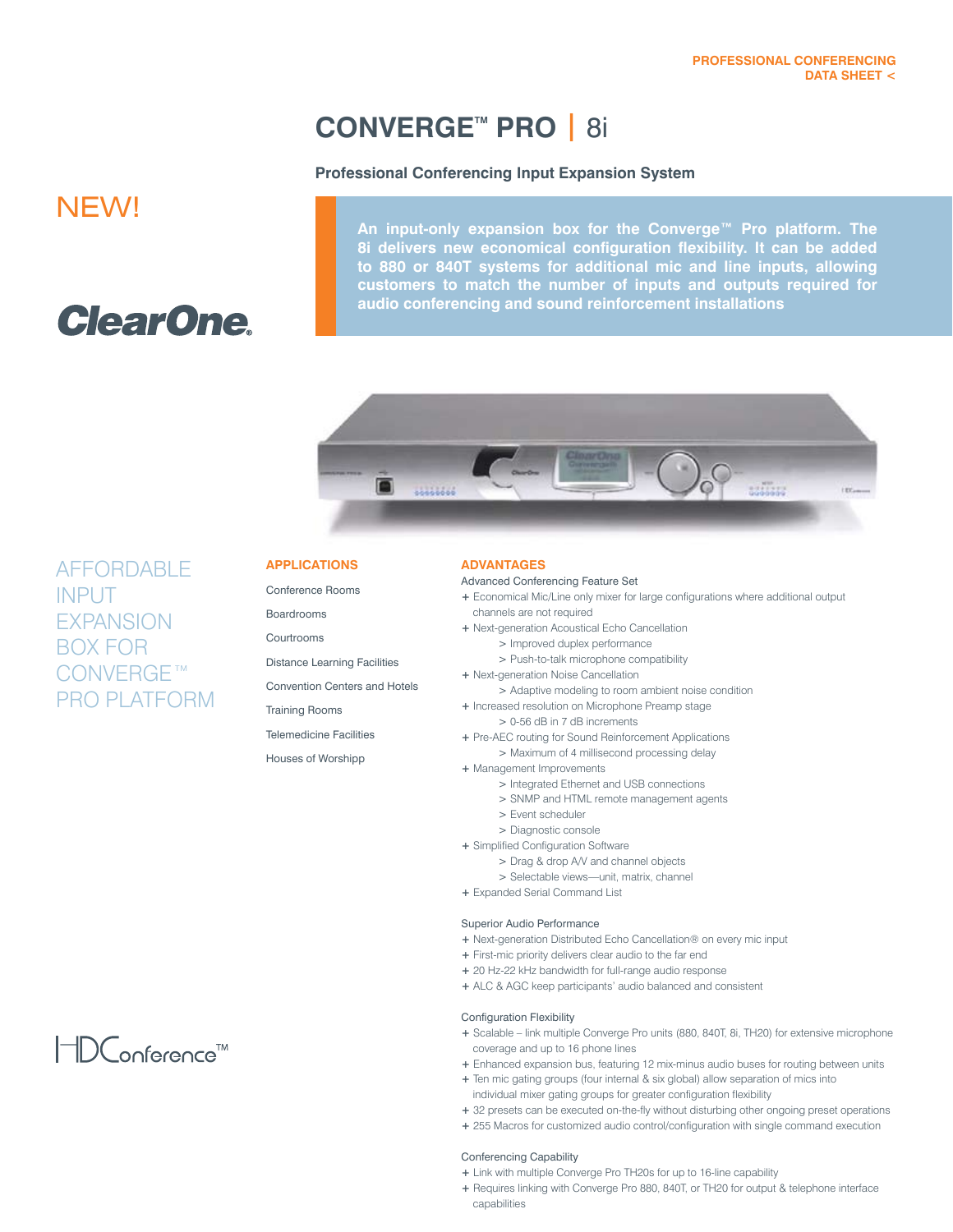# **CONVERGETM PRO |** 8i

# **Professional Conferencing Input Expansion System**

# NEW!

# **ClearOne**

**An input-only expansion box for the Converge™ Pro platform. The 8i delivers new economical configuration flexibility. It can be added to 880 or 840T systems for additional mic and line inputs, allowing customers to match the number of inputs and outputs required for audio conferencing and sound reinforcement installations**



AFFORDABLE INPUT *EXPANSION* BOX FOR CONVERGE™ PRO PLATFORM

# **APPLICATIONS**

Conference Rooms

**Boardrooms** 

Courtrooms

Distance Learning Facilities

Convention Centers and Hotels

Training Rooms

Telemedicine Facilities

Houses of Worshipp

### **ADVANTAGES**

#### Advanced Conferencing Feature Set

- **+** Economical Mic/Line only mixer for large configurations where additional output channels are not required
- **+** Next-generation Acoustical Echo Cancellation
	- > Improved duplex performance
	- > Push-to-talk microphone compatibility
- **+** Next-generation Noise Cancellation
- > Adaptive modeling to room ambient noise condition
- **+** Increased resolution on Microphone Preamp stage
	- > 0-56 dB in 7 dB increments
- **+** Pre-AEC routing for Sound Reinforcement Applications > Maximum of 4 millisecond processing delay
- **+** Management Improvements
	- > Integrated Ethernet and USB connections
	- > SNMP and HTML remote management agents
	- > Event scheduler
	- > Diagnostic console
- **+** Simplified Configuration Software
	- > Drag & drop A/V and channel objects
	- > Selectable views—unit, matrix, channel
- **+** Expanded Serial Command List

#### Superior Audio Performance

- **+** Next-generation Distributed Echo Cancellation® on every mic input
- **+** First-mic priority delivers clear audio to the far end
- **+** 20 Hz-22 kHz bandwidth for full-range audio response
- **+** ALC & AGC keep participants' audio balanced and consistent

#### Configuration Flexibility

- **+** Scalable link multiple Converge Pro units (880, 840T, 8i, TH20) for extensive microphone coverage and up to 16 phone lines
- **+** Enhanced expansion bus, featuring 12 mix-minus audio buses for routing between units
- **+** Ten mic gating groups (four internal & six global) allow separation of mics into individual mixer gating groups for greater configuration flexibility
- **+** 32 presets can be executed on-the-fly without disturbing other ongoing preset operations
- **+** 255 Macros for customized audio control/configuration with single command execution

#### Conferencing Capability

- **+** Link with multiple Converge Pro TH20s for up to 16-line capability
- **+** Requires linking with Converge Pro 880, 840T, or TH20 for output & telephone interface capabilities